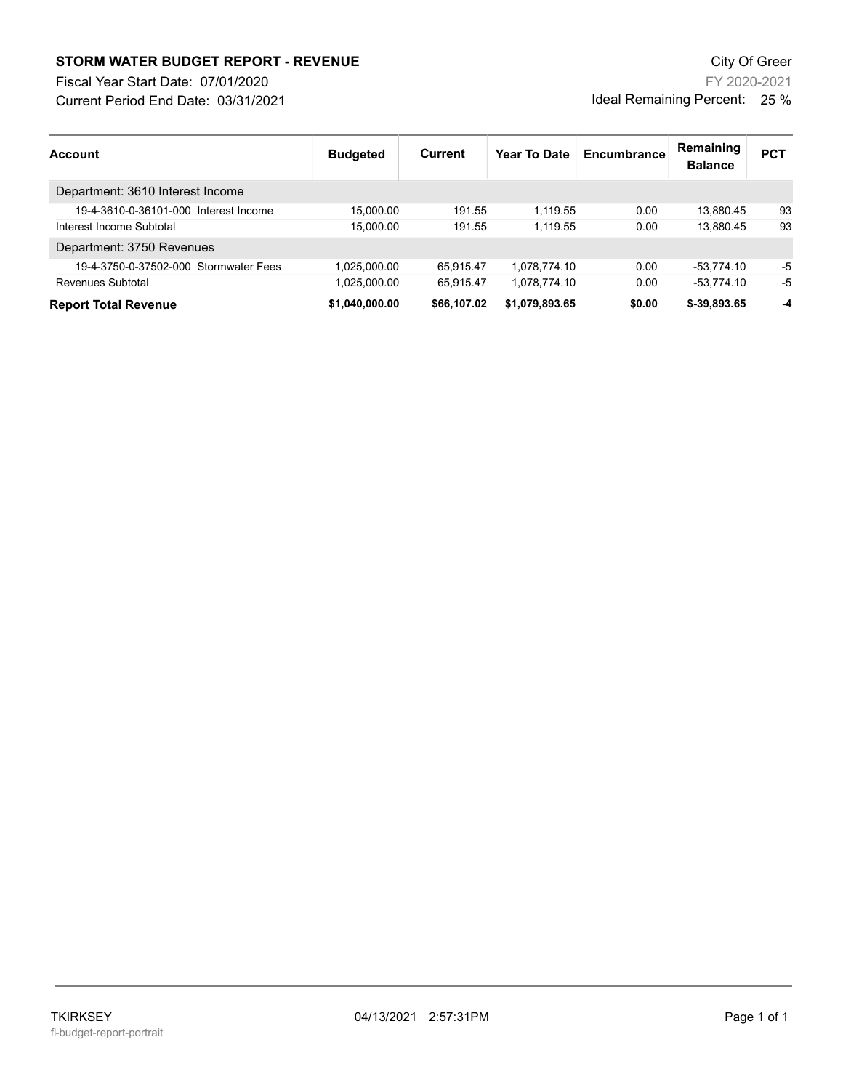## STORM WATER BUDGET REPORT - REVENUE CHARGED AND THE CHARGE CITY Of Green

Current Period End Date: 03/31/2021 Fiscal Year Start Date: 07/01/2020

FY 2020-2021 Ideal Remaining Percent: 25 %

| <b>Account</b>                        | <b>Budgeted</b> | Current     | Year To Date   | Encumbrance | Remaining<br><b>Balance</b> | <b>PCT</b> |
|---------------------------------------|-----------------|-------------|----------------|-------------|-----------------------------|------------|
| Department: 3610 Interest Income      |                 |             |                |             |                             |            |
| 19-4-3610-0-36101-000 Interest Income | 15.000.00       | 191.55      | 1.119.55       | 0.00        | 13.880.45                   | 93         |
| Interest Income Subtotal              | 15.000.00       | 191.55      | 1.119.55       | 0.00        | 13.880.45                   | 93         |
| Department: 3750 Revenues             |                 |             |                |             |                             |            |
| 19-4-3750-0-37502-000 Stormwater Fees | 1.025.000.00    | 65.915.47   | 1.078.774.10   | 0.00        | -53.774.10                  | -5         |
| Revenues Subtotal                     | 1.025.000.00    | 65.915.47   | 1.078.774.10   | 0.00        | $-53.774.10$                | -5         |
| <b>Report Total Revenue</b>           | \$1.040.000.00  | \$66,107.02 | \$1,079,893.65 | \$0.00      | \$-39,893.65                | -4         |